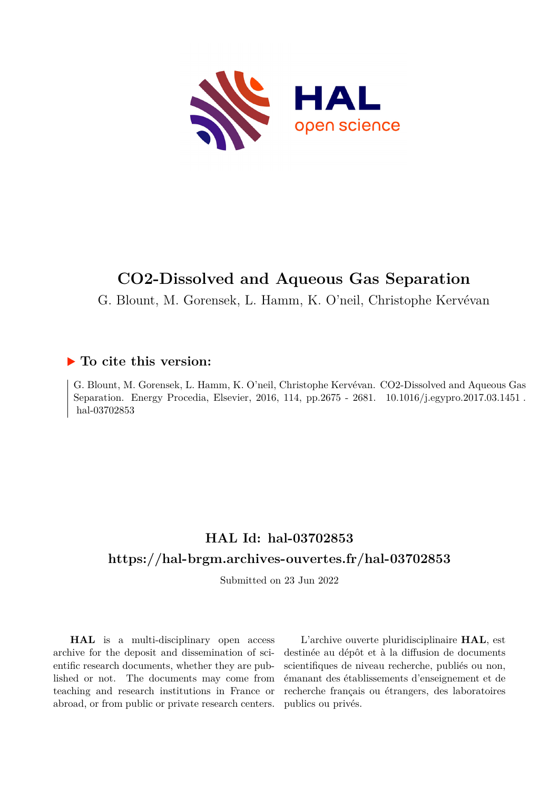

# **CO2-Dissolved and Aqueous Gas Separation**

G. Blount, M. Gorensek, L. Hamm, K. O'neil, Christophe Kervévan

### **To cite this version:**

G. Blount, M. Gorensek, L. Hamm, K. O'neil, Christophe Kervévan. CO2-Dissolved and Aqueous Gas Separation. Energy Procedia, Elsevier, 2016, 114, pp.2675 - 2681. 10.1016/j.egypro.2017.03.1451. hal-03702853

## **HAL Id: hal-03702853 <https://hal-brgm.archives-ouvertes.fr/hal-03702853>**

Submitted on 23 Jun 2022

**HAL** is a multi-disciplinary open access archive for the deposit and dissemination of scientific research documents, whether they are published or not. The documents may come from teaching and research institutions in France or abroad, or from public or private research centers.

L'archive ouverte pluridisciplinaire **HAL**, est destinée au dépôt et à la diffusion de documents scientifiques de niveau recherche, publiés ou non, émanant des établissements d'enseignement et de recherche français ou étrangers, des laboratoires publics ou privés.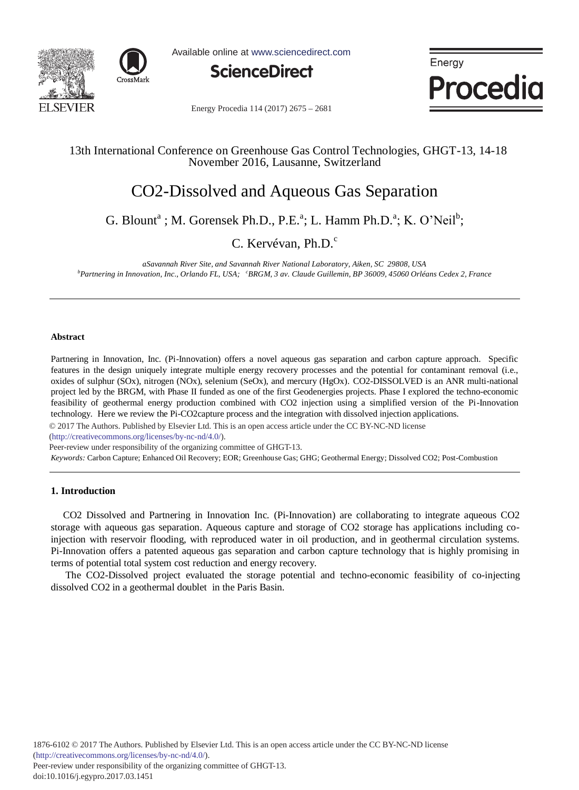



Available online at www.sciencedirect.com



Energy Procedia

Energy Procedia 114 (2017) 2675 - 2681

#### 13th International Conference on Greenhouse Gas Control Technologies, GHGT-13, 14-18 November 2016, Lausanne, Switzerland

### CO2-Dissolved and Aqueous Gas Separation

G. Blount<sup>a</sup>; M. Gorensek Ph.D., P.E.<sup>a</sup>; L. Hamm Ph.D.<sup>a</sup>; K. O'Neil<sup>b</sup>;

C. Kervévan, Ph.D.<sup>c</sup>

*aSavannah River Site, and Savannah River National Laboratory, Aiken, SC 29808, USA b Partnering in Innovation, Inc., Orlando FL, USA; <sup>c</sup> BRGM, 3 av. Claude Guillemin, BP 36009, 45060 Orléans Cedex 2, France*

#### **Abstract**

Partnering in Innovation, Inc. (Pi-Innovation) offers a novel aqueous gas separation and carbon capture approach. Specific features in the design uniquely integrate multiple energy recovery processes and the potential for contaminant removal (i.e., oxides of sulphur (SOx), nitrogen (NOx), selenium (SeOx), and mercury (HgOx). CO2-DISSOLVED is an ANR multi-national project led by the BRGM, with Phase II funded as one of the first Geodenergies projects. Phase I explored the techno-economic feasibility of geothermal energy production combined with CO2 injection using a simplified version of the Pi-Innovation technology. Here we review the Pi-CO2capture process and the integration with dissolved injection applications.

© 2017 The Authors. Published by Elsevier Ltd. © 2017 The Authors. Published by Elsevier Ltd. This is an open access article under the CC BY-NC-ND license

(http://creativecommons.org/licenses/by-nc-nd/4.0/).

Peer-review under responsibility of the organizing committee of GHGT-13.

*Keywords:* Carbon Capture; Enhanced Oil Recovery; EOR; Greenhouse Gas; GHG; Geothermal Energy; Dissolved CO2; Post-Combustion

#### **1. Introduction**

CO2 Dissolved and Partnering in Innovation Inc. (Pi-Innovation) are collaborating to integrate aqueous CO2 storage with aqueous gas separation. Aqueous capture and storage of CO2 storage has applications including coinjection with reservoir flooding, with reproduced water in oil production, and in geothermal circulation systems. Pi-Innovation offers a patented aqueous gas separation and carbon capture technology that is highly promising in terms of potential total system cost reduction and energy recovery.

The CO2-Dissolved project evaluated the storage potential and techno-economic feasibility of co-injecting dissolved CO2 in a geothermal doublet in the Paris Basin.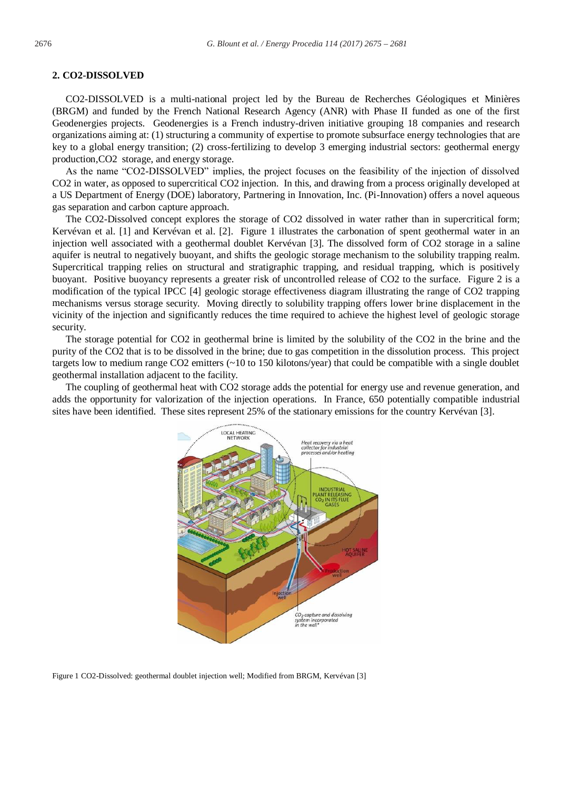#### **2. CO2-DISSOLVED**

CO2-DISSOLVED is a multi-national project led by the Bureau de Recherches Géologiques et Minières (BRGM) and funded by the French National Research Agency (ANR) with Phase II funded as one of the first Geodenergies projects. Geodenergies is a French industry-driven initiative grouping 18 companies and research organizations aiming at: (1) structuring a community of expertise to promote subsurface energy technologies that are key to a global energy transition; (2) cross-fertilizing to develop 3 emerging industrial sectors: geothermal energy production,CO2 storage, and energy storage.

As the name "CO2-DISSOLVED" implies, the project focuses on the feasibility of the injection of dissolved CO2 in water, as opposed to supercritical CO2 injection. In this, and drawing from a process originally developed at a US Department of Energy (DOE) laboratory, Partnering in Innovation, Inc. (Pi-Innovation) offers a novel aqueous gas separation and carbon capture approach.

The CO2-Dissolved concept explores the storage of CO2 dissolved in water rather than in supercritical form; Kervévan et al. [1] and Kervévan et al. [2]. Figure 1 illustrates the carbonation of spent geothermal water in an injection well associated with a geothermal doublet Kervévan [3]. The dissolved form of CO2 storage in a saline aquifer is neutral to negatively buoyant, and shifts the geologic storage mechanism to the solubility trapping realm. Supercritical trapping relies on structural and stratigraphic trapping, and residual trapping, which is positively buoyant. Positive buoyancy represents a greater risk of uncontrolled release of CO2 to the surface. Figure 2 is a modification of the typical IPCC [4] geologic storage effectiveness diagram illustrating the range of CO2 trapping mechanisms versus storage security. Moving directly to solubility trapping offers lower brine displacement in the vicinity of the injection and significantly reduces the time required to achieve the highest level of geologic storage security.

The storage potential for CO2 in geothermal brine is limited by the solubility of the CO2 in the brine and the purity of the CO2 that is to be dissolved in the brine; due to gas competition in the dissolution process. This project targets low to medium range CO2 emitters (~10 to 150 kilotons/year) that could be compatible with a single doublet geothermal installation adjacent to the facility.

The coupling of geothermal heat with CO2 storage adds the potential for energy use and revenue generation, and adds the opportunity for valorization of the injection operations. In France, 650 potentially compatible industrial sites have been identified. These sites represent 25% of the stationary emissions for the country Kervévan [3].



Figure 1 CO2-Dissolved: geothermal doublet injection well; Modified from BRGM, Kervévan [3]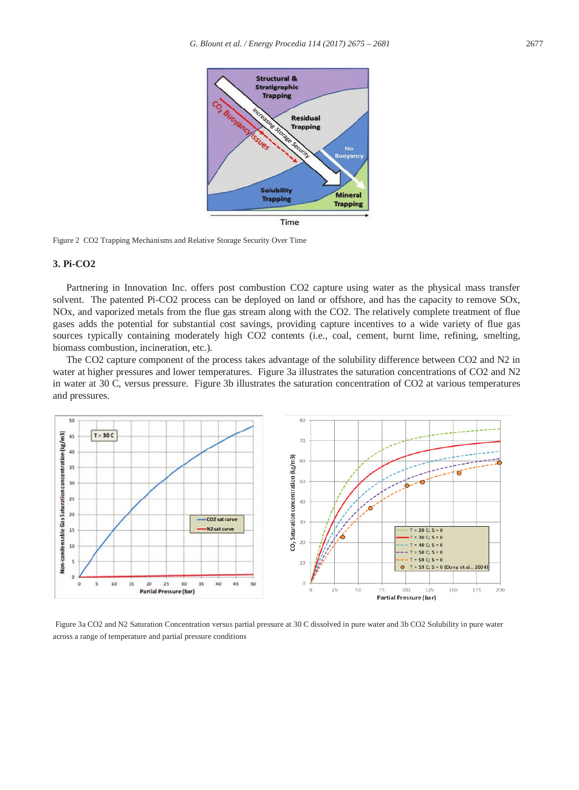

Figure 2 CO2 Trapping Mechanisms and Relative Storage Security Over Time

#### **3. Pi-CO2**

Partnering in Innovation Inc. offers post combustion CO2 capture using water as the physical mass transfer solvent. The patented Pi-CO2 process can be deployed on land or offshore, and has the capacity to remove SOx, NOx, and vaporized metals from the flue gas stream along with the CO2. The relatively complete treatment of flue gases adds the potential for substantial cost savings, providing capture incentives to a wide variety of flue gas sources typically containing moderately high CO2 contents (i.e., coal, cement, burnt lime, refining, smelting, biomass combustion, incineration, etc.).

The CO2 capture component of the process takes advantage of the solubility difference between CO2 and N2 in water at higher pressures and lower temperatures. Figure 3a illustrates the saturation concentrations of CO2 and N2 in water at 30 C, versus pressure. Figure 3b illustrates the saturation concentration of CO2 at various temperatures and pressures.



Figure 3a CO2 and N2 Saturation Concentration versus partial pressure at 30 C dissolved in pure water and 3b CO2 Solubility in pure water across a range of temperature and partial pressure conditions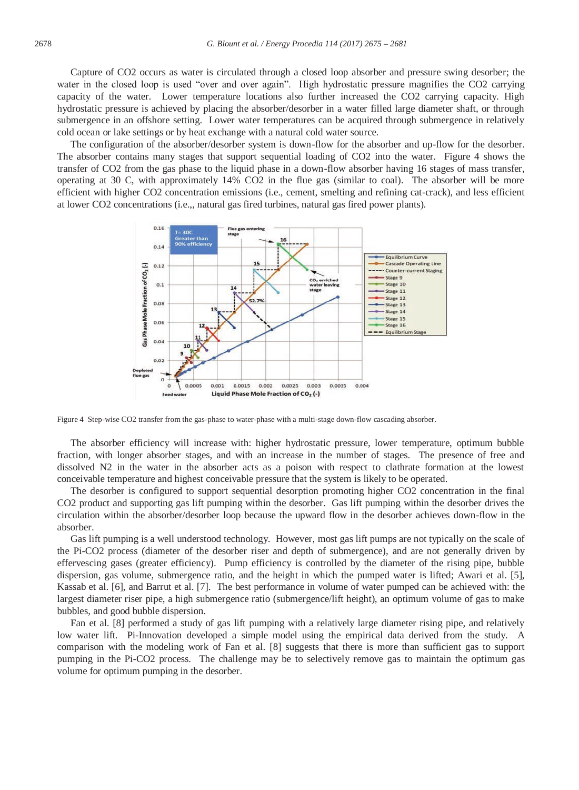Capture of CO2 occurs as water is circulated through a closed loop absorber and pressure swing desorber; the water in the closed loop is used "over and over again". High hydrostatic pressure magnifies the CO2 carrying capacity of the water. Lower temperature locations also further increased the CO2 carrying capacity. High hydrostatic pressure is achieved by placing the absorber/desorber in a water filled large diameter shaft, or through submergence in an offshore setting. Lower water temperatures can be acquired through submergence in relatively cold ocean or lake settings or by heat exchange with a natural cold water source.

The configuration of the absorber/desorber system is down-flow for the absorber and up-flow for the desorber. The absorber contains many stages that support sequential loading of CO2 into the water. Figure 4 shows the transfer of CO2 from the gas phase to the liquid phase in a down-flow absorber having 16 stages of mass transfer, operating at 30 C, with approximately 14% CO2 in the flue gas (similar to coal). The absorber will be more efficient with higher CO2 concentration emissions (i.e., cement, smelting and refining cat-crack), and less efficient at lower CO2 concentrations (i.e.,, natural gas fired turbines, natural gas fired power plants).



Figure 4 Step-wise CO2 transfer from the gas-phase to water-phase with a multi-stage down-flow cascading absorber.

The absorber efficiency will increase with: higher hydrostatic pressure, lower temperature, optimum bubble fraction, with longer absorber stages, and with an increase in the number of stages. The presence of free and dissolved N2 in the water in the absorber acts as a poison with respect to clathrate formation at the lowest conceivable temperature and highest conceivable pressure that the system is likely to be operated.

The desorber is configured to support sequential desorption promoting higher CO2 concentration in the final CO2 product and supporting gas lift pumping within the desorber. Gas lift pumping within the desorber drives the circulation within the absorber/desorber loop because the upward flow in the desorber achieves down-flow in the absorber.

Gas lift pumping is a well understood technology. However, most gas lift pumps are not typically on the scale of the Pi-CO2 process (diameter of the desorber riser and depth of submergence), and are not generally driven by effervescing gases (greater efficiency). Pump efficiency is controlled by the diameter of the rising pipe, bubble dispersion, gas volume, submergence ratio, and the height in which the pumped water is lifted; Awari et al. [5], Kassab et al. [6], and Barrut et al. [7]. The best performance in volume of water pumped can be achieved with: the largest diameter riser pipe, a high submergence ratio (submergence/lift height), an optimum volume of gas to make bubbles, and good bubble dispersion.

Fan et al. [8] performed a study of gas lift pumping with a relatively large diameter rising pipe, and relatively low water lift. Pi-Innovation developed a simple model using the empirical data derived from the study. A comparison with the modeling work of Fan et al. [8] suggests that there is more than sufficient gas to support pumping in the Pi-CO2 process. The challenge may be to selectively remove gas to maintain the optimum gas volume for optimum pumping in the desorber.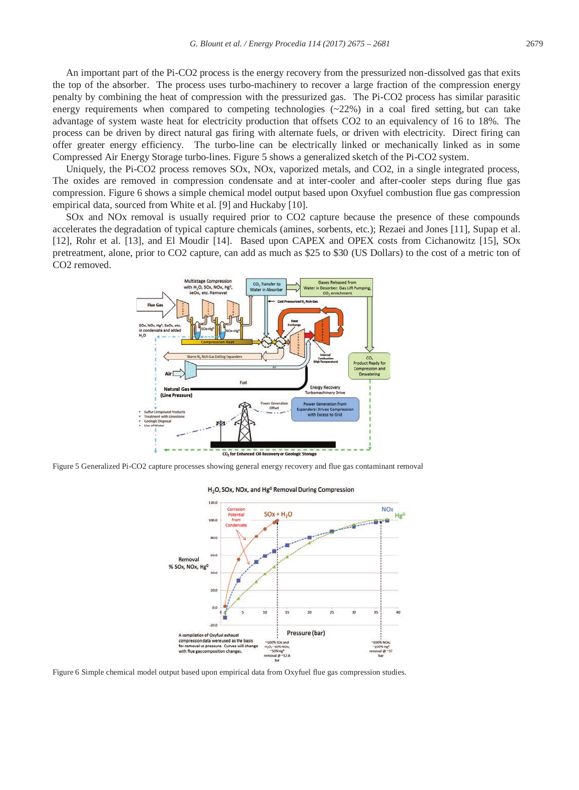An important part of the Pi-CO2 process is the energy recovery from the pressurized non-dissolved gas that exits the top of the absorber. The process uses turbo-machinery to recover a large fraction of the compression energy penalty by combining the heat of compression with the pressurized gas. The Pi-CO2 process has similar parasitic energy requirements when compared to competing technologies  $(\sim 22\%)$  in a coal fired setting, but can take advantage of system waste heat for electricity production that offsets CO2 to an equivalency of 16 to 18%. The process can be driven by direct natural gas firing with alternate fuels, or driven with electricity. Direct firing can offer greater energy efficiency. The turbo-line can be electrically linked or mechanically linked as in some Compressed Air Energy Storage turbo-lines. Figure 5 shows a generalized sketch of the Pi-CO2 system.

Uniquely, the Pi-CO2 process removes SOx, NOx, vaporized metals, and CO2, in a single integrated process, The oxides are removed in compression condensate and at inter-cooler and after-cooler steps during flue gas compression. Figure 6 shows a simple chemical model output based upon Oxyfuel combustion flue gas compression empirical data, sourced from White et al. [9] and Huckaby [10].

SOx and NOx removal is usually required prior to CO2 capture because the presence of these compounds accelerates the degradation of typical capture chemicals (amines, sorbents, etc.); Rezaei and Jones [11], Supap et al. [12], Rohr et al. [13], and El Moudir [14]. Based upon CAPEX and OPEX costs from Cichanowitz [15], SOx pretreatment, alone, prior to CO2 capture, can add as much as \$25 to \$30 (US Dollars) to the cost of a metric ton of CO2 removed.



Figure 5 Generalized Pi-CO2 capture processes showing general energy recovery and flue gas contaminant removal



H<sub>2</sub>O, SOx, NOx, and Hg<sup>o</sup> Removal During Compression

Figure 6 Simple chemical model output based upon empirical data from Oxyfuel flue gas compression studies.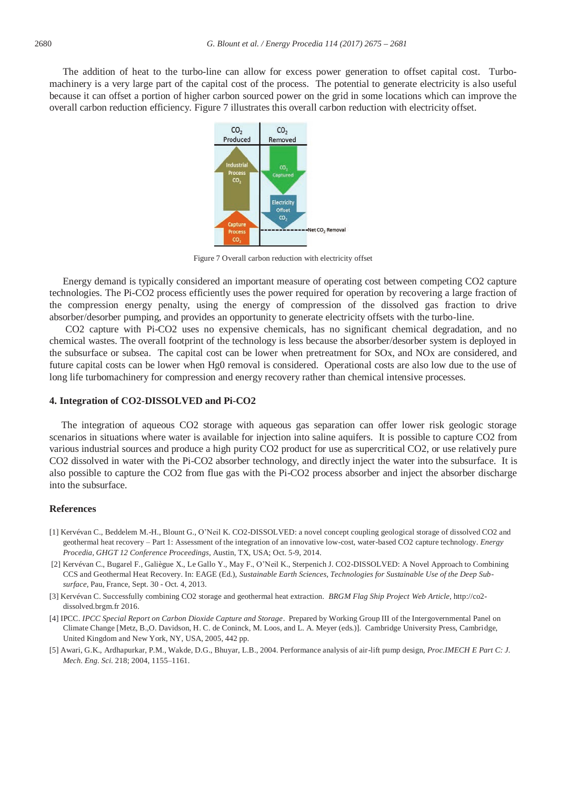The addition of heat to the turbo-line can allow for excess power generation to offset capital cost. Turbomachinery is a very large part of the capital cost of the process. The potential to generate electricity is also useful because it can offset a portion of higher carbon sourced power on the grid in some locations which can improve the overall carbon reduction efficiency. Figure 7 illustrates this overall carbon reduction with electricity offset.



Figure 7 Overall carbon reduction with electricity offset

Energy demand is typically considered an important measure of operating cost between competing CO2 capture technologies. The Pi-CO2 process efficiently uses the power required for operation by recovering a large fraction of the compression energy penalty, using the energy of compression of the dissolved gas fraction to drive absorber/desorber pumping, and provides an opportunity to generate electricity offsets with the turbo-line.

 CO2 capture with Pi-CO2 uses no expensive chemicals, has no significant chemical degradation, and no chemical wastes. The overall footprint of the technology is less because the absorber/desorber system is deployed in the subsurface or subsea. The capital cost can be lower when pretreatment for SOx, and NOx are considered, and future capital costs can be lower when Hg0 removal is considered. Operational costs are also low due to the use of long life turbomachinery for compression and energy recovery rather than chemical intensive processes.

#### **4. Integration of CO2-DISSOLVED and Pi-CO2**

The integration of aqueous CO2 storage with aqueous gas separation can offer lower risk geologic storage scenarios in situations where water is available for injection into saline aquifers. It is possible to capture CO2 from various industrial sources and produce a high purity CO2 product for use as supercritical CO2, or use relatively pure CO2 dissolved in water with the Pi-CO2 absorber technology, and directly inject the water into the subsurface. It is also possible to capture the CO2 from flue gas with the Pi-CO2 process absorber and inject the absorber discharge into the subsurface.

#### **References**

- [1] Kervévan C., Beddelem M.-H., Blount G., O'Neil K. CO2-DISSOLVED: a novel concept coupling geological storage of dissolved CO2 and geothermal heat recovery – Part 1: Assessment of the integration of an innovative low-cost, water-based CO2 capture technology. *Energy Procedia, GHGT 12 Conference Proceedings,* Austin, TX, USA; Oct. 5-9, 2014.
- [2] Kervévan C., Bugarel F., Galiègue X., Le Gallo Y., May F., O'Neil K., Sterpenich J. CO2-DISSOLVED: A Novel Approach to Combining CCS and Geothermal Heat Recovery. In: EAGE (Ed.), *Sustainable Earth Sciences, Technologies for Sustainable Use of the Deep Subsurface*, Pau, France, Sept. 30 - Oct. 4, 2013.
- [3] Kervévan C. Successfully combining CO2 storage and geothermal heat extraction. *BRGM Flag Ship Project Web Article*, http://co2 dissolved.brgm.fr 2016.
- [4] IPCC. *IPCC Special Report on Carbon Dioxide Capture and Storage*. Prepared by Working Group III of the Intergovernmental Panel on Climate Change [Metz, B.,O. Davidson, H. C. de Coninck, M. Loos, and L. A. Meyer (eds.)]. Cambridge University Press, Cambridge, United Kingdom and New York, NY, USA, 2005, 442 pp.
- [5] Awari, G.K., Ardhapurkar, P.M., Wakde, D.G., Bhuyar, L.B., 2004. Performance analysis of air-lift pump design, *Proc.IMECH E Part C: J. Mech. Eng. Sci.* 218; 2004, 1155–1161.